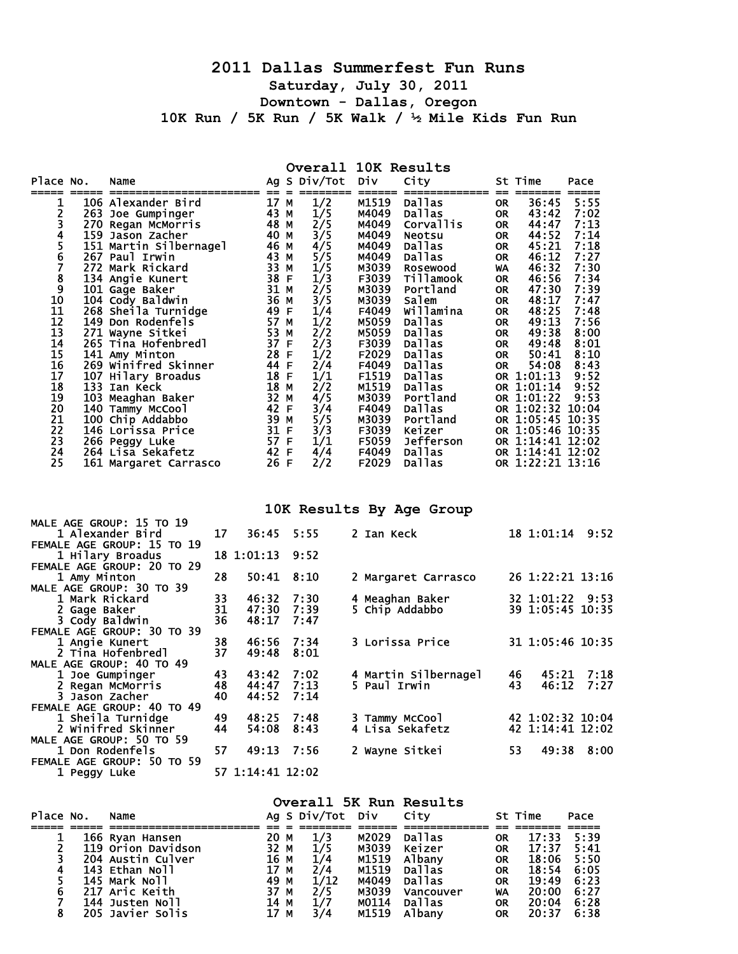## **2011 Dallas Summerfest Fun Runs Saturday, July 30, 2011 Downtown - Dallas, Oregon 10K Run / 5K Run / 5K Walk / ½ Mile Kids Fun Run**

## **Overall 10K Results**

| Place No.                  |              | Name                                           |    |                  | Ag S Div/Tot | Div            | City                       |           | St Time                              | Pace |      |
|----------------------------|--------------|------------------------------------------------|----|------------------|--------------|----------------|----------------------------|-----------|--------------------------------------|------|------|
| 1                          |              | 106 Alexander Bird                             |    | 17 M             | 1/2          | M1519          | Dallas                     | OR.       | 36:45                                | 5:55 |      |
| 2                          |              | 263 Joe Gumpinger                              |    | 43 M             | 1/5          | M4049          | Dallas                     | OR        | 43:42                                | 7:02 |      |
|                            |              | 270 Regan McMorris                             |    | 48 M             | 2/5          | M4049          | Corvallis                  | OR.       | 44:47                                | 7:13 |      |
|                            |              | 159 Jason Zacher                               |    | 40 M             | 3/5          | M4049          | <b>Neotsu</b>              | <b>OR</b> | 44:52                                | 7:14 |      |
| 3456                       |              | 151 Martin Silbernagel                         |    | 46 M             | 4/5          | M4049          | Dallas                     | OR        | 45:21                                | 7:18 |      |
|                            |              | 267 Paul Irwin                                 |    | 43 M             | 5/5          | M4049          | Dallas                     | OR.       | 46:12                                | 7:27 |      |
| $\frac{7}{8}$              |              | 272 Mark Rickard                               |    | 33 M             | 1/5          | M3039          | <b>Rosewood</b>            | <b>WA</b> | 46:32                                | 7:30 |      |
|                            |              | 134 Angie Kunert                               |    | 38 F             | 1/3          | F3039          | <b>Tillamook</b>           | OR        | 46:56                                | 7:34 |      |
| $\overline{9}$             |              | 101 Gage Baker                                 |    | 31 M             | 2/5          | M3039          | Portland                   | OR.       | 47:30                                | 7:39 |      |
| 10                         |              | 104 Cody Baldwin                               |    | 36 M             | 3/5          | M3039          | Salem                      | 0R        | 48:17                                | 7:47 |      |
| 11                         |              | 268 Sheila Turnidge                            |    | 49 F             | 1/4          | F4049          | Willamina                  | OR.       | 48:25                                | 7:48 |      |
| $\overline{12}$            |              | 149 Don Rodenfels                              |    | 57 M             | 1/2          | M5059          | Dallas                     | OR.       | 49:13                                | 7:56 |      |
| 13                         |              | 271 Wayne Sitkei                               |    | 53 M             | 2/2          | M5059          | Dallas                     | OR.       | 49:38                                | 8:00 |      |
| 14                         |              | 265 Tina Hofenbredl                            |    | 37 F             | 2/3          | F3039          | Dallas                     | OR.       | 49:48                                | 8:01 |      |
| 15                         |              | 141 Amy Minton                                 |    | 28 F             | 1/2          | F2029          | Dallas                     | OR.       | 50:41                                | 8:10 |      |
| 16                         |              | 269 Winifred Skinner                           |    | 44 F             | 2/4          | F4049          | Dallas                     | OR.       | 54:08                                | 8:43 |      |
| 17                         |              | 107 Hilary Broadus                             |    | 18 F             | 1/1          | F1519          | Dallas                     |           | OR 1:01:13                           | 9:52 |      |
| 18                         |              | 133 Ian Keck                                   |    | 18 M             | 2/2          | M1519          | Dallas                     |           | OR 1:01:14                           | 9:52 |      |
| 19                         |              | 103 Meaghan Baker                              |    | 32 M             | 4/5          | M3039          | Portland                   |           | OR 1:01:22                           | 9:53 |      |
| 20<br>21                   |              | 140 Tammy McCool                               |    | 42 F<br>39 M     | 3/4          | F4049          | Dallas                     |           | OR 1:02:32 10:04                     |      |      |
| $\overline{2}\overline{2}$ |              | 100 Chip Addabbo                               |    | 31 F             | 5/5          | M3039<br>F3039 | Portland                   |           | OR 1:05:45 10:35<br>OR 1:05:46 10:35 |      |      |
| 23                         |              | 146 Lorissa Price                              |    | 57 F             | 3/3<br>1/1   | F5059          | Keizer<br><b>Jefferson</b> |           | OR 1:14:41 12:02                     |      |      |
| 24                         |              | 266 Peggy Luke<br>264 Lisa Sekafetz            |    | 42 F             | 4/4          | F4049          | Dallas                     |           | OR 1:14:41 12:02                     |      |      |
| 25                         |              | 161 Margaret Carrasco                          |    | 26 F             | 2/2          | F2029          | Dallas                     |           | OR 1:22:21 13:16                     |      |      |
|                            |              |                                                |    |                  |              |                |                            |           |                                      |      |      |
|                            |              |                                                |    |                  |              |                | 10K Results By Age Group   |           |                                      |      |      |
|                            |              | MALE AGE GROUP: 15 TO 19                       |    |                  |              |                |                            |           |                                      |      |      |
|                            |              | 1 Alexander Bird<br>FEMALE AGE GROUP: 15 TO 19 | 17 | 36:45            | 5:55         | 2 Ian Keck     |                            |           | 18 1:01:14 9:52                      |      |      |
|                            |              | 1 Hilary Broadus                               |    | 18 1:01:13       | 9:52         |                |                            |           |                                      |      |      |
|                            |              | FEMALE AGE GROUP: 20 TO 29                     |    |                  |              |                |                            |           |                                      |      |      |
|                            | 1 Amy Minton |                                                | 28 | 50:41            | 8:10         |                | 2 Margaret Carrasco        |           | 26 1:22:21 13:16                     |      |      |
|                            |              | MALE AGE GROUP: 30 TO 39                       |    |                  |              |                |                            |           |                                      |      |      |
|                            |              | 1 Mark Rickard                                 | 33 | 46:32            | 7:30         |                | 4 Meaghan Baker            |           | 32 1:01:22 9:53                      |      |      |
|                            | 2 Gage Baker |                                                | 31 | 47:30            | 7:39         |                | 5 Chip Addabbo             |           | 39 1:05:45 10:35                     |      |      |
|                            |              | 3 Cody Baldwin                                 | 36 | 48:17            | 7:47         |                |                            |           |                                      |      |      |
|                            |              | FEMALE AGE GROUP: 30 TO 39                     |    |                  |              |                |                            |           |                                      |      |      |
|                            |              | 1 Angie Kunert                                 | 38 | 46:56            | 7:34         |                | 3 Lorissa Price            |           | 31 1:05:46 10:35                     |      |      |
|                            |              | 2 Tina Hofenbredl                              | 37 | 49:48            | 8:01         |                |                            |           |                                      |      |      |
|                            |              | MALE AGE GROUP: 40 TO 49                       |    |                  |              |                |                            |           |                                      |      |      |
|                            |              | 1 Joe Gumpinger                                | 43 | 43:42            | 7:02         |                | 4 Martin Silbernagel       |           | 46<br>45:21                          |      | 7:18 |
|                            |              | 2 Regan McMorris                               | 48 | 44:47            | 7:13         | 5 Paul Irwin   |                            |           | 43<br>46:12                          |      | 7:27 |
|                            |              | 3 Jason Zacher                                 | 40 | 44:52            | 7:14         |                |                            |           |                                      |      |      |
|                            |              | FEMALE AGE GROUP: 40 TO 49                     |    |                  |              |                |                            |           |                                      |      |      |
|                            |              | 1 Sheila Turnidge                              | 49 | 48:25            | 7:48         |                | 3 Tammy McCool             |           | 42 1:02:32 10:04                     |      |      |
|                            |              | 2 Winifred Skinner                             | 44 | 54:08            | 8:43         |                | 4 Lisa Sekafetz            |           | 42 1:14:41 12:02                     |      |      |
|                            |              | MALE AGE GROUP: 50 TO 59                       |    |                  |              |                |                            |           |                                      |      |      |
|                            |              | 1 Don Rodenfels                                | 57 | 49:13            | 7:56         |                | 2 wayne Sitkei             |           | 53<br>49:38                          |      | 8:00 |
|                            |              | FEMALE AGE GROUP: 50 TO 59                     |    |                  |              |                |                            |           |                                      |      |      |
|                            | 1 Peggy Luke |                                                |    | 57 1:14:41 12:02 |              |                |                            |           |                                      |      |      |

| Place No. | Name               |      | Ag S Div/Tot Div City |       | Overall 5K Run Results |           | St Time | Pace |
|-----------|--------------------|------|-----------------------|-------|------------------------|-----------|---------|------|
|           | 166 Ryan Hansen    | 20 M | 1/3                   | M2029 | Dallas                 | <b>OR</b> | 17:33   | 5:39 |
|           | 119 Orion Davidson | 32 M | 1/5                   | M3039 | Keizer                 | <b>OR</b> | 17:37   | 5:41 |
|           | 204 Austin Culver  | 16 M | 1/4                   | M1519 | Albany                 | <b>OR</b> | 18:06   | 5:50 |
|           | 143 Ethan Noll     | 17 M | 2/4                   | M1519 | pallas                 | <b>OR</b> | 18:54   | 6:05 |
|           | 145 Mark Noll      | 49 M | 1/12                  | M4049 | Dallas                 | <b>OR</b> | 19:49   | 6:23 |
| 6         | 217 Aric Keith     | 37 M | 2/5                   | M3039 | Vancouver              | WA        | 20:00   | 6:27 |
|           | 144 Justen Noll    | 14 M | 1/7                   | M0114 | <b>Dallas</b>          | <b>OR</b> | 20:04   | 6:28 |
| 8         | 205 Javier Solis   | 17 M | 3/4                   | M1519 | A <sub>1</sub> bany    | <b>OR</b> | 20:37   | 6:38 |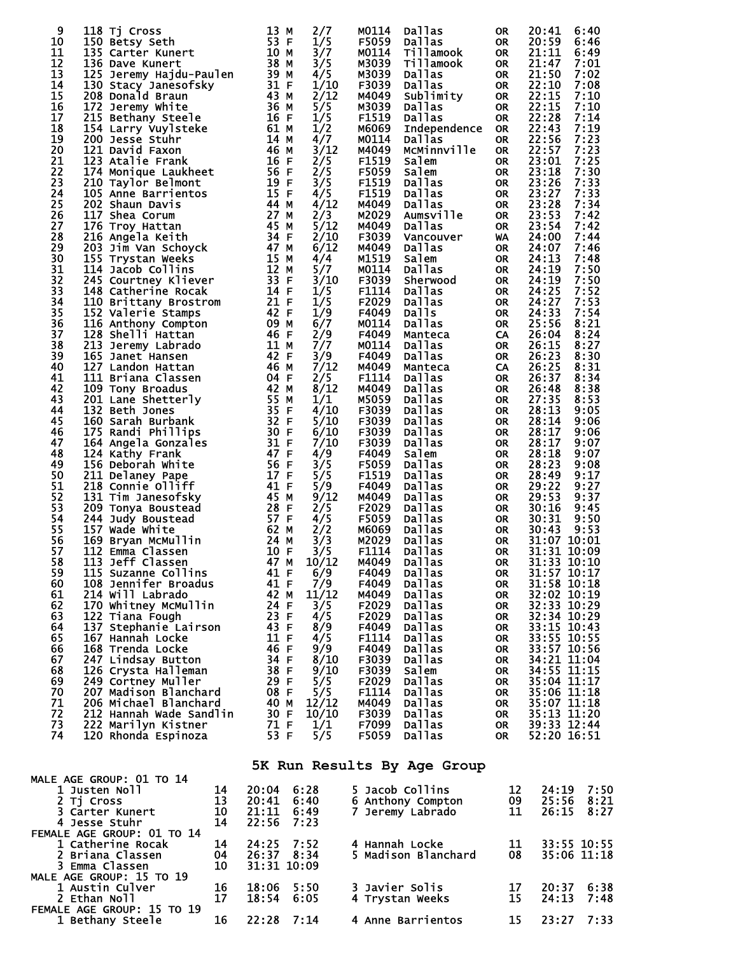| 9  | 118 Tj Cross            | 13<br>м                                                                                                                                                                                                                               | 2/7   | M0114 | <b>Dallas</b>       | 0R        | 20:41 | 6:40        |
|----|-------------------------|---------------------------------------------------------------------------------------------------------------------------------------------------------------------------------------------------------------------------------------|-------|-------|---------------------|-----------|-------|-------------|
| 10 | 150 Betsy Seth          | 53 F                                                                                                                                                                                                                                  | 1/5   | F5059 | <b>Dallas</b>       | OR        | 20:59 | 6:46        |
| 11 | 135 Carter Kunert       | 10 M                                                                                                                                                                                                                                  | 3/7   | M0114 | Tillamook           | <b>OR</b> | 21:11 | 6:49        |
| 12 |                         | 38 M                                                                                                                                                                                                                                  |       |       |                     |           | 21:47 |             |
|    | 136 Dave Kunert         | Ten<br>2001<br>2011<br>2014<br>2016<br>2016<br>2014<br>2014<br>2016<br>2016<br>2016<br>2016<br>2016<br>2016<br>2016<br>2016<br>2016<br>2016<br>2016<br>2016<br>2016<br>2016<br>2016<br>2016                                           | 3/5   | M3039 | Tillamook           | OR        |       | 7:01        |
| 13 | 125 Jeremy Hajdu-Paulen |                                                                                                                                                                                                                                       | 4/5   | M3039 | Dallas              | <b>OR</b> | 21:50 | 7:02        |
| 14 | 130 Stacy Janesofsky    |                                                                                                                                                                                                                                       | 1/10  | F3039 | Dallas              | <b>OR</b> | 22:10 | 7:08        |
| 15 | 208 Donald Braun        |                                                                                                                                                                                                                                       | 2/12  | M4049 | Sublimity           | <b>OR</b> | 22:15 | 7:10        |
| 16 | 172 Jeremy White        |                                                                                                                                                                                                                                       | 5/5   | M3039 | Dallas              | OR        | 22:15 | 7:10        |
| 17 | 215 Bethany Steele      |                                                                                                                                                                                                                                       | 1/5   | F1519 | Dallas              | <b>OR</b> | 22:28 | 7:14        |
| 18 | 154 Larry Vuylsteke     |                                                                                                                                                                                                                                       | 1/2   | M6069 | <b>Independence</b> | <b>OR</b> | 22:43 | 7:19        |
| 19 | 200 Jesse Stuhr         |                                                                                                                                                                                                                                       | 4/7   | M0114 | Dallas              | <b>OR</b> | 22:56 | 7:23        |
| 20 | 121 David Faxon         |                                                                                                                                                                                                                                       | 3/12  | M4049 | MCMinnville         | <b>OR</b> | 22:57 | 7:23        |
|    |                         |                                                                                                                                                                                                                                       |       |       |                     |           |       |             |
| 21 | 123 Atalie Frank        | 16F                                                                                                                                                                                                                                   | 2/5   | F1519 | Salem               | <b>OR</b> | 23:01 | 7:25        |
| 22 | 174 Monique Laukheet    | 56 F                                                                                                                                                                                                                                  | 2/5   | F5059 | Salem               | <b>OR</b> | 23:18 | 7:30        |
| 23 | 210 Taylor Belmont      | 19F<br>$\frac{19}{15}$ F                                                                                                                                                                                                              | 3/5   | F1519 | Dallas              | <b>OR</b> | 23:26 | 7:33        |
| 24 | 105 Anne Barrientos     |                                                                                                                                                                                                                                       | 4/5   | F1519 | Dallas              | 0R        | 23:27 | 7:33        |
| 25 | 202 Shaun Davis         | 44 M                                                                                                                                                                                                                                  | 4/12  | M4049 | Dallas              | <b>OR</b> | 23:28 | 7:34        |
| 26 | 117 Shea Corum          | 44 M<br>27 M<br>45 M<br>34 F.                                                                                                                                                                                                         | 2/3   | M2029 | Aumsville           | <b>OR</b> | 23:53 | 7:42        |
| 27 | 176 Troy Hattan         |                                                                                                                                                                                                                                       | 5/12  | M4049 | Dallas              | <b>OR</b> | 23:54 | 7:42        |
| 28 | 216 Angela Keith        |                                                                                                                                                                                                                                       | 2/10  | F3039 |                     |           | 24:00 | 7:44        |
|    |                         |                                                                                                                                                                                                                                       |       |       | Vancouver           | WA        |       |             |
| 29 | 203 Jim Van Schoyck     | 47 M                                                                                                                                                                                                                                  | 6/12  | M4049 | Dallas              | 0R        | 24:07 | 7:46        |
| 30 | 155 Trystan Weeks       | 15 M                                                                                                                                                                                                                                  | 4/4   | M1519 | Salem               | OR        | 24:13 | 7:48        |
| 31 | 114 Jacob Collins       | 12 M                                                                                                                                                                                                                                  | 5/7   | M0114 | Dallas              | <b>OR</b> | 24:19 | 7:50        |
| 32 | 245 Courtney Kliever    | 33 F                                                                                                                                                                                                                                  | 3/10  | F3039 | Sherwood            | OR        | 24:19 | 7:50        |
| 33 | 148 Catherine Rocak     | 14 F                                                                                                                                                                                                                                  | 1/5   | F1114 | Dallas              | <b>OR</b> | 24:25 | 7:52        |
| 34 | 110 Brittany Brostrom   |                                                                                                                                                                                                                                       | 1/5   | F2029 | Dallas              | <b>OR</b> | 24:27 | 7:53        |
| 35 | 152 Valerie Stamps      |                                                                                                                                                                                                                                       | 1/9   | F4049 | <b>Dalls</b>        | <b>OR</b> | 24:33 | 7:54        |
|    |                         |                                                                                                                                                                                                                                       |       |       |                     |           |       | 8:21        |
| 36 | 116 Anthony Compton     |                                                                                                                                                                                                                                       | 6/7   | M0114 | Dallas              | <b>OR</b> | 25:56 |             |
| 37 | 128 Shelli Hattan       | om<br>21 F<br>42 F<br>09 M<br>46 F<br>11 M                                                                                                                                                                                            | 2/9   | F4049 | Manteca             | CA        | 26:04 | 8:24        |
| 38 | 213 Jeremy Labrado      |                                                                                                                                                                                                                                       | 7/7   | M0114 | Dallas              | <b>OR</b> | 26:15 | 8:27        |
| 39 | 165 Janet Hansen        | <b>1426 – 1426 – 1426 – 1426 – 1426 – 1427 – 1427 – 1427 – 1428 – 1428 – 1428 – 1428 – 1428 – 1428 – 1428 – 1428</b><br>1425 – 1427 – 1428 – 1428 – 1428 – 1428 – 1428 – 1428 – 1428 – 1428 – 1428 – 1428 – 1428 – 1428 – 1428 – 1428 | 3/9   | F4049 | Dallas              | <b>OR</b> | 26:23 | 8:30        |
| 40 | 127 Landon Hattan       |                                                                                                                                                                                                                                       | 7/12  | M4049 | Manteca             | CA        | 26:25 | 8:31        |
| 41 | 111 Briana Classen      |                                                                                                                                                                                                                                       | 2/5   | F1114 | Dallas              | <b>OR</b> | 26:37 | 8:34        |
| 42 | 109 Tony Broadus        |                                                                                                                                                                                                                                       | 8/12  | M4049 | Dallas              | OR        | 26:48 | 8:38        |
| 43 |                         |                                                                                                                                                                                                                                       | 1/1   | M5059 | Dallas              | <b>OR</b> | 27:35 | 8:53        |
|    | 201 Lane Shetterly      |                                                                                                                                                                                                                                       |       |       |                     |           |       |             |
| 44 | 132 Beth Jones          |                                                                                                                                                                                                                                       | 4/10  | F3039 | Dallas              | OR        | 28:13 | 9:05        |
| 45 | 160 Sarah Burbank       |                                                                                                                                                                                                                                       | 5/10  | F3039 | Dallas              | <b>OR</b> | 28:14 | 9:06        |
| 46 | 175 Randi Phillips      | 30 F                                                                                                                                                                                                                                  | 6/10  | F3039 | Dallas              | OR        | 28:17 | 9:06        |
| 47 | 164 Angela Gonzales     | 31 F                                                                                                                                                                                                                                  | 7/10  | F3039 | Dallas              | <b>OR</b> | 28:17 | 9:07        |
| 48 | 124 Kathy Frank         | 47 F                                                                                                                                                                                                                                  | 4/9   | F4049 | Salem               | OR        | 28:18 | 9:07        |
| 49 | 156 Deborah White       | 56 F                                                                                                                                                                                                                                  | 3/5   | F5059 | Dallas              | 0R        | 28:23 | 9:08        |
| 50 | 211 Delaney Pape        | 17 F                                                                                                                                                                                                                                  | 5/5   | F1519 | Dallas              | OR        | 28:49 | 9:17        |
| 51 | 218 Connie 011iff       | 41 F                                                                                                                                                                                                                                  | 5/9   | F4049 | Dallas              | OR        | 29:22 | 9:27        |
| 52 |                         | 45 M                                                                                                                                                                                                                                  |       |       |                     |           |       |             |
|    | 131 Tim Janesofsky      |                                                                                                                                                                                                                                       | 9/12  | M4049 | Dallas              | OR        | 29:53 | 9:37        |
| 53 | 209 Tonya Boustead      | 28 F                                                                                                                                                                                                                                  | 2/5   | F2029 | Dallas              | 0R        | 30:16 | 9:45        |
| 54 | 244 Judy Boustead       | 57 F                                                                                                                                                                                                                                  | 4/5   | F5059 | Dallas              | OR        | 30:31 | 9:50        |
| 55 | 157 Wade White          | 62 M                                                                                                                                                                                                                                  | 2/2   | M6069 | Dallas              | <b>OR</b> | 30:43 | 9:53        |
| 56 | 169 Bryan McMullin      | $24$ M<br>$10$ F<br>$47$ M                                                                                                                                                                                                            | 3/3   | M2029 | Dallas              | <b>OR</b> |       | 31:07 10:01 |
| 57 | 112 Emma Classen        |                                                                                                                                                                                                                                       | 3/5   | F1114 | Dallas              | <b>OR</b> |       | 31:31 10:09 |
| 58 | 113 Jeff Classen        | 47 M                                                                                                                                                                                                                                  | 10/12 | M4049 | <b>Dallas</b>       | <b>OR</b> |       | 31:33 10:10 |
| 59 | 115 Suzanne Collins     | 41 F                                                                                                                                                                                                                                  | 6/9   | F4049 | Dallas              | 0R        |       | 31:57 10:17 |
| 60 | 108 Jennifer Broadus    | 41 F                                                                                                                                                                                                                                  |       | F4049 | Dallas              |           |       | 31:58 10:18 |
|    |                         |                                                                                                                                                                                                                                       | 7/9   |       |                     | OR        |       |             |
| 61 | 214 will Labrado        | 42 M                                                                                                                                                                                                                                  | 11/12 | M4049 | Dallas              | 0R        |       | 32:02 10:19 |
| 62 | 170 Whitney McMullin    | 24 F                                                                                                                                                                                                                                  | 3/5   | F2029 | Dallas              | OR        |       | 32:33 10:29 |
| 63 | 122 Tiana Fough         | 23 F                                                                                                                                                                                                                                  | 4/5   | F2029 | Dallas              | <b>OR</b> |       | 32:34 10:29 |
| 64 | 137 Stephanie Lairson   | 43 F                                                                                                                                                                                                                                  | 8/9   | F4049 | Dallas              | OR        |       | 33:15 10:43 |
| 65 | 167 Hannah Locke        | 11 F                                                                                                                                                                                                                                  | 4/5   | F1114 | Dallas              | <b>OR</b> |       | 33:55 10:55 |
| 66 | 168 Trenda Locke        | 46 F                                                                                                                                                                                                                                  | 9/9   | F4049 | Dallas              | OR        |       | 33:57 10:56 |
| 67 | 247 Lindsay Button      | 34 F                                                                                                                                                                                                                                  | 8/10  | F3039 | Dallas              | 0R        |       | 34:21 11:04 |
| 68 | 126 Crysta Halleman     | 38 F                                                                                                                                                                                                                                  | 9/10  |       | Salem               |           |       | 34:55 11:15 |
|    |                         |                                                                                                                                                                                                                                       |       | F3039 |                     | OR        |       |             |
| 69 | 249 Cortney Muller      | 29 F                                                                                                                                                                                                                                  | 5/5   | F2029 | Dallas              | <b>OR</b> |       | 35:04 11:17 |
| 70 | 207 Madison Blanchard   | 08 F                                                                                                                                                                                                                                  | 5/5   | F1114 | Dallas              | OR        |       | 35:06 11:18 |
| 71 | 206 Michael Blanchard   | 40 M                                                                                                                                                                                                                                  | 12/12 | M4049 | Dallas              | 0R        |       | 35:07 11:18 |
| 72 | 212 Hannah Wade Sandlin | 30 F                                                                                                                                                                                                                                  | 10/10 | F3039 | Dallas              | 0R        |       | 35:13 11:20 |
| 73 | 222 Marilyn Kistner     | 71 F                                                                                                                                                                                                                                  | 1/1   | F7099 | Dallas              | OR        |       | 39:33 12:44 |
| 74 | 120 Rhonda Espinoza     | 53 F                                                                                                                                                                                                                                  | 5/5   | F5059 | Dallas              | 0R        |       | 52:20 16:51 |
|    |                         |                                                                                                                                                                                                                                       |       |       |                     |           |       |             |

**5K Run Results By Age Group**

| MALE AGE GROUP: 01 TO 14   |    |                 |                     |    |                 |
|----------------------------|----|-----------------|---------------------|----|-----------------|
| 1 Justen Noll              | 14 | 6:28<br>20:04   | 5 Jacob Collins     | 12 | 24:19<br>7:50   |
| 2 Tj Cross                 | 13 | 20:41<br>6:40   | 6 Anthony Compton   | 09 | 25:56<br>8:21   |
| 3 Carter Kunert            | 10 | 21:11<br>6:49   | 7 Jeremy Labrado    | 11 | 8:27<br>26:15   |
| 4 Jesse Stuhr              | 14 | $22:56$ 7:23    |                     |    |                 |
| FEMALE AGE GROUP: 01 TO 14 |    |                 |                     |    |                 |
| 1 Catherine Rocak          | 14 | 24:25<br>7:52   | 4 Hannah Locke      | 11 | 33:55 10:55     |
| 2 Briana Classen           | 04 | 26:37 8:34      | 5 Madison Blanchard | 08 | $35:06$ $11:18$ |
| 3 Emma Classen             | 10 | $31:31$ $10:09$ |                     |    |                 |
| MALE AGE GROUP: 15 TO 19   |    |                 |                     |    |                 |
| 1 Austin Culver            | 16 | 5:50<br>18:06   | 3 Javier Solis      | 17 | 6:38<br>20:37   |
| 2 Ethan Noll               | 17 | 18:54<br>6:05   | 4 Trystan Weeks     | 15 | 24:13<br>7:48   |
| FEMALE AGE GROUP: 15 TO 19 |    |                 |                     |    |                 |
| 1 Bethany Steele           | 16 | 22:28<br>7:14   | 4 Anne Barrientos   | 15 | 7:33<br>73:27   |
|                            |    |                 |                     |    |                 |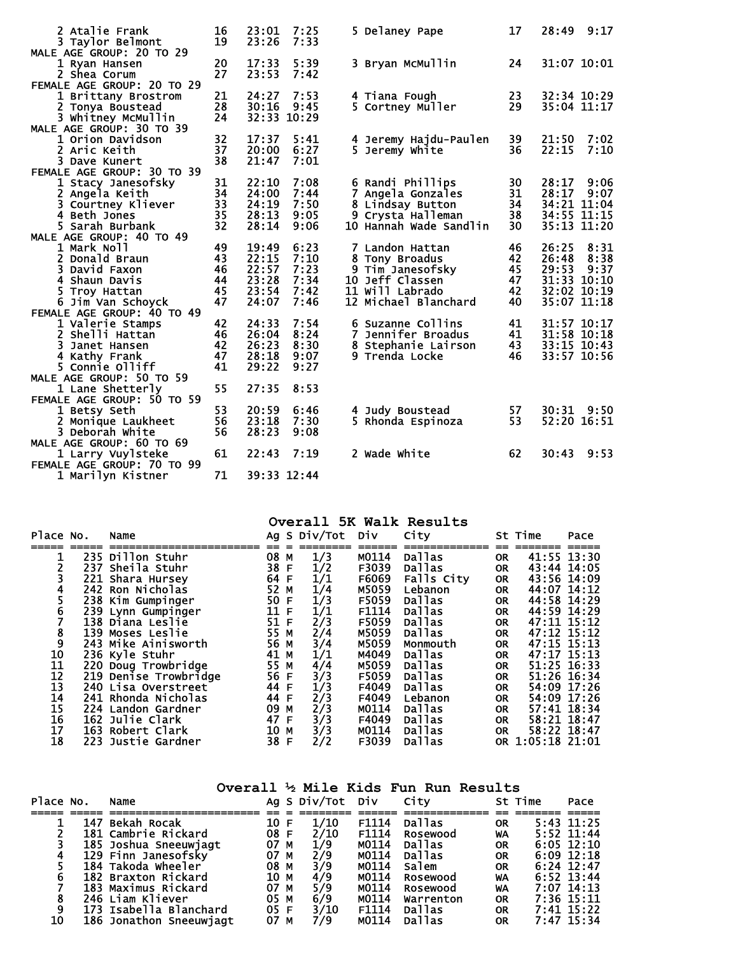| <b>2 Atalie Frank</b><br>3 Taylor Belmont | 16<br>19 | 23:01<br>23:26 | 7:25<br>7:33 |   | 5 Delaney Pape         | 17 | 28:49       | 9:17 |
|-------------------------------------------|----------|----------------|--------------|---|------------------------|----|-------------|------|
| MALE AGE GROUP: 20 TO 29                  |          |                |              |   |                        |    |             |      |
| 1 Ryan Hansen                             | 20       | 17:33          | 5:39         |   | 3 Bryan McMullin       | 24 | 31:07 10:01 |      |
| 2 Shea Corum                              | 27       | 23:53          | 7:42         |   |                        |    |             |      |
| FEMALE AGE GROUP: 20 TO 29                |          |                |              |   |                        |    |             |      |
| 1 Brittany Brostrom                       | 21       | 24:27          | 7:53         |   | 4 Tiana Fough          | 23 | 32:34 10:29 |      |
| 2 Tonya Boustead                          | 28       | 30:16          | 9:45         |   | 5 Cortney Muller       | 29 | 35:04 11:17 |      |
| 3 Whitney McMullin                        | 24       |                | 32:33 10:29  |   |                        |    |             |      |
| MALE AGE GROUP: 30 TO 39                  |          |                |              |   |                        |    |             |      |
| 1 Orion Davidson                          | 32       | 17:37          | 5:41         |   | 4 Jeremy Hajdu-Paulen  | 39 | 21:50       | 7:02 |
| 2 Aric Keith                              | 37       | 20:00          | 6:27         |   | 5 Jeremy White         | 36 | 22:15       | 7:10 |
| 3 Dave Kunert                             | 38       | 21:47          | 7:01         |   |                        |    |             |      |
| FEMALE AGE GROUP: 30 TO 39                |          |                |              |   |                        |    |             |      |
| 1 Stacy Janesofsky                        | 31       | 22:10          | 7:08         |   | 6 Randi Phillips       | 30 | 28:17       | 9:06 |
| 2 Angela Keith                            | 34       | 24:00          | 7:44         |   | 7 Angela Gonzales      | 31 | 28:17       | 9:07 |
| 3 Courtney Kliever                        | 33       | 24:19          | 7:50         |   | 8 Lindsay Button       | 34 | 34:21 11:04 |      |
| 4 Beth Jones                              | 35       | 28:13          | 9:05         |   | 9 Crysta Halleman      | 38 | 34:55 11:15 |      |
| 5 Sarah Burbank                           | 32       | 28:14          | 9:06         |   | 10 Hannah Wade Sandlin | 30 | 35:13 11:20 |      |
| MALE AGE GROUP: 40 TO 49                  |          |                |              |   |                        |    |             |      |
| 1 Mark Noll                               | 49       | 19:49          | 6:23         |   | 7 Landon Hattan        | 46 | 26:25       | 8:31 |
| 2 Donald Braun                            | 43       | 22:15          | 7:10         |   | 8 Tony Broadus         | 42 | 26:48       | 8:38 |
| 3 David Faxon                             | 46       | 22:57          | 7:23         |   | 9 Tim Janesofsky       | 45 | 29:53       | 9:37 |
| 4 Shaun Davis                             | 44       | 23:28          | 7:34         |   | 10 Jeff Classen        | 47 | 31:33 10:10 |      |
| 5 Troy Hattan                             | 45       | 23:54          | 7:42         |   | 11 Will Labrado        | 42 | 32:02 10:19 |      |
| 6 Jim Van Schoyck                         | 47       | 24:07          | 7:46         |   | 12 Michael Blanchard   | 40 | 35:07 11:18 |      |
| FEMALE AGE GROUP: 40 TO 49                |          |                |              |   |                        |    |             |      |
| 1 Valerie Stamps                          | 42       | 24:33          | 7:54         |   | 6 Suzanne Collins      | 41 | 31:57 10:17 |      |
| 2 Shelli Hattan                           | 46       | 26:04          | 8:24         | 7 | Jennifer Broadus       | 41 | 31:58 10:18 |      |
| 3 Janet Hansen                            | 42       | 26:23          | 8:30         |   | 8 Stephanie Lairson    | 43 | 33:15 10:43 |      |
| 4 Kathy Frank                             | 47       | 28:18          | 9:07         |   | 9 Trenda Locke         | 46 | 33:57 10:56 |      |
| 5 Connie Olliff                           | 41       | 29:22          | 9:27         |   |                        |    |             |      |
| MALE AGE GROUP: 50 TO 59                  |          |                |              |   |                        |    |             |      |
| 1 Lane Shetterly                          | 55       | 27:35          | 8:53         |   |                        |    |             |      |
| FEMALE AGE GROUP: 50 TO 59                |          |                |              |   |                        |    |             |      |
| 1 Betsy Seth                              | 53       | 20:59          | 6:46         |   | 4 Judy Boustead        | 57 | 30:31 9:50  |      |
| 2 Monique Laukheet                        | 56       | 23:18          | 7:30         |   | 5 Rhonda Espinoza      | 53 | 52:20 16:51 |      |
| 3 Deborah White                           | 56       | 28:23          | 9:08         |   |                        |    |             |      |
| MALE AGE GROUP: 60 TO 69                  |          |                |              |   |                        |    |             |      |
| 1 Larry Vuylsteke                         | 61       | 22:43          | 7:19         |   | 2 wade white           | 62 | 30:43       | 9:53 |
| FEMALE AGE GROUP: 70 TO 99                |          |                |              |   |                        |    |             |      |
| 1 Marilyn Kistner                         | 71       |                | 39:33 12:44  |   |                        |    |             |      |
|                                           |          |                |              |   |                        |    |             |      |

**Overall 5K Walk Results**

| Place No. | Name                                         |      | Ag S Div/Tot                                       | Div   | City          |           | St Time          | Pace |
|-----------|----------------------------------------------|------|----------------------------------------------------|-------|---------------|-----------|------------------|------|
|           |                                              |      |                                                    |       |               |           |                  |      |
|           | 235 Dillon Stuhr                             | 08 M | 1/3                                                | M0114 | <b>Dallas</b> | <b>OR</b> | 41:55 13:30      |      |
|           | 237 Sheila Stuhr                             | 38 F | 1/2                                                | F3039 | Dallas        | <b>OR</b> | 43:44 14:05      |      |
|           | 221 Shara Hursey                             | 64 F | 1/1                                                | F6069 | Falls City    | <b>OR</b> | 43:56 14:09      |      |
| 4         | 242 Ron Nicholas                             | 52 M | 1/4                                                | M5059 | Lebanon       | <b>OR</b> | 44:07 14:12      |      |
|           | 238 Kim Gumpinger                            | 50 F | $\frac{1}{3}$<br>$\frac{1}{3}$                     | F5059 | <b>Dallas</b> | <b>OR</b> | 44:58 14:29      |      |
| 6         | 239 Lynn Gumpinger                           | 11 F |                                                    | F1114 | Dallas        | <b>OR</b> | 44:59 14:29      |      |
|           | 138 Diana Leslie                             | 51 F | 2/3                                                | F5059 | Dallas        | <b>OR</b> | 47:11 15:12      |      |
| 8         | 139 Moses Leslie                             | 55 M |                                                    | M5059 | <b>Dallas</b> | <b>OR</b> | 47:12 15:12      |      |
| 9         | 243 Mike Ainisworth                          | 56 M | $2/4$<br>$3/4$<br>$1/4$<br>$3/3$<br>$1/3$<br>$2/3$ | M5059 | Monmouth      | <b>OR</b> | 47:15 15:13      |      |
| 10        | 236 Kyle Stuhr                               | 41 M |                                                    | M4049 | <b>Dallas</b> | <b>OR</b> | 47:17 15:13      |      |
| 11        | 220 Doug Trowbridge<br>219 Denise Trowbridge | 55 M |                                                    | M5059 | <b>Dallas</b> | <b>OR</b> | 51:25 16:33      |      |
| 12        |                                              | 56 F |                                                    | F5059 | <b>Dallas</b> | <b>OR</b> | 51:26 16:34      |      |
| 13        | 240 Lisa Overstreet                          | 44 F |                                                    | F4049 | <b>Dallas</b> | <b>OR</b> | 54:09 17:26      |      |
| 14        | 241 Rhonda Nicholas                          | 44 F |                                                    | F4049 | Lebanon       | <b>OR</b> | 54:09 17:26      |      |
| 15        | 224 Landon Gardner                           | 09 M | 2/3                                                | M0114 | <b>Dallas</b> | <b>OR</b> | 57:41 18:34      |      |
| 16        | 162 Julie Clark                              | 47 F | 3/3                                                | F4049 | <b>Dallas</b> | <b>OR</b> | 58:21 18:47      |      |
| 17        | 163 Robert Clark                             | 10 M |                                                    | M0114 | Dallas        | <b>OR</b> | 58:22 18:47      |      |
| 18        | 223 Justie Gardner                           | 38 F | $\frac{3}{2}$                                      | F3039 | Dallas        |           | OR 1:05:18 21:01 |      |

|           |                         |      |                                                 |       | Overall 1/2 Mile Kids Fun Run Results |           |         |                |
|-----------|-------------------------|------|-------------------------------------------------|-------|---------------------------------------|-----------|---------|----------------|
| Place No. | Name                    |      | Ag S Div/Tot Div City                           |       |                                       |           | St Time | Pace           |
|           |                         |      |                                                 |       |                                       |           |         |                |
|           | 147 Bekah Rocak         | 10 F | 1/10                                            | F1114 | <b>Dallas</b>                         | <b>OR</b> |         | $5:43$ 11:25   |
|           | 181 Cambrie Rickard     | 08 F | 2/10                                            | F1114 | Rosewood                              | WA        |         | $5:52$ 11:44   |
|           | 185 Joshua Sneeuwjagt   | 07 M | 1/9                                             | M0114 | Dallas                                | <b>OR</b> |         | $6:05$ 12:10   |
|           | 129 Finn Janesofsky     | 07 M | 2/9                                             | M0114 | <b>Dallas</b>                         | <b>OR</b> |         | $6:09$ 12:18   |
|           | 184 Takoda Wheeler      | 08 M | 3/9                                             | M0114 | salem                                 | <b>OR</b> |         | $6:24$ 12:47   |
| 6         | 182 Braxton Rickard     | 10 M | $\frac{4}{9}$<br>$\frac{5}{9}$<br>$\frac{6}{9}$ | M0114 | Rosewood                              | WA        |         | $6:52$ 13:44   |
|           | 183 Maximus Rickard     | 07 M |                                                 | M0114 | Rosewood                              | WA        |         | $7:07$ 14:13   |
| 8         | 246 Liam Kliever        | 05 M |                                                 | M0114 | Warrenton                             | <b>OR</b> |         | $7:36$ $15:11$ |
| 9         | 173 Isabella Blanchard  | 05 F | 3/10                                            | F1114 | <b>Dallas</b>                         | <b>OR</b> |         | $7:41$ 15:22   |
| 10        | 186 Jonathon Sneeuwjagt | 07 M | 7/9                                             | M0114 | <b>Dallas</b>                         | <b>OR</b> |         | $7:47$ 15:34   |